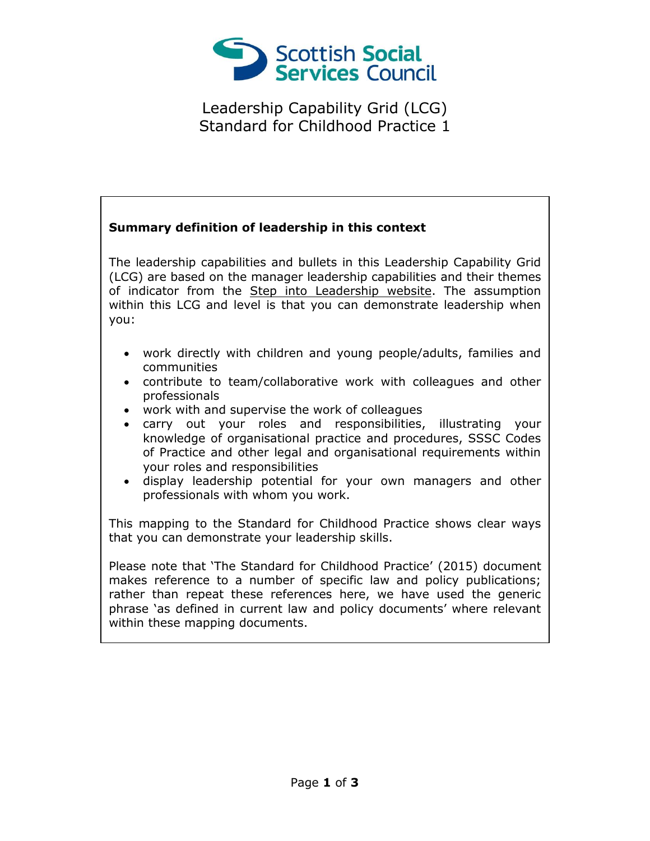

Leadership Capability Grid (LCG) Standard for Childhood Practice 1

## **Summary definition of leadership in this context** The leadership capabilities and bullets in this Leadership Capability Grid (LCG) are based on the manager leadership capabilities and their themes of indicator from the [Step into Leadership website.](http://www.stepintoleadership.info/) The assumption within this LCG and level is that you can demonstrate leadership when you: work directly with children and young people/adults, families and communities contribute to team/collaborative work with colleagues and other professionals work with and supervise the work of colleagues carry out your roles and responsibilities, illustrating your knowledge of organisational practice and procedures, SSSC Codes of Practice and other legal and organisational requirements within your roles and responsibilities display leadership potential for your own managers and other professionals with whom you work. This mapping to the Standard for Childhood Practice shows clear ways that you can demonstrate your leadership skills. Please note that 'The Standard for Childhood Practice' (2015) document makes reference to a number of specific law and policy publications; rather than repeat these references here, we have used the generic phrase 'as defined in current law and policy documents' where relevant within these mapping documents.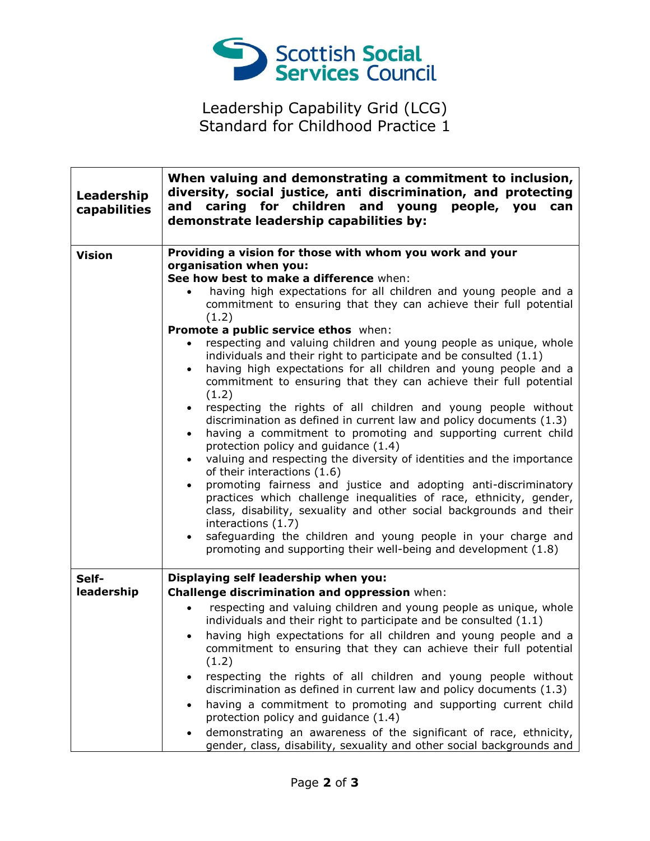

Leadership Capability Grid (LCG) Standard for Childhood Practice 1

| Leadership<br>capabilities | When valuing and demonstrating a commitment to inclusion,<br>diversity, social justice, anti discrimination, and protecting<br>caring for children and young people, you<br>and<br>can<br>demonstrate leadership capabilities by:                                                                                                                                                                                                                                                                                                                                                                                                                                                                                                                                                                                                                                                                                                                                                                                                                                                                                                                                                                                                                                                                                                                                                                           |
|----------------------------|-------------------------------------------------------------------------------------------------------------------------------------------------------------------------------------------------------------------------------------------------------------------------------------------------------------------------------------------------------------------------------------------------------------------------------------------------------------------------------------------------------------------------------------------------------------------------------------------------------------------------------------------------------------------------------------------------------------------------------------------------------------------------------------------------------------------------------------------------------------------------------------------------------------------------------------------------------------------------------------------------------------------------------------------------------------------------------------------------------------------------------------------------------------------------------------------------------------------------------------------------------------------------------------------------------------------------------------------------------------------------------------------------------------|
| <b>Vision</b>              | Providing a vision for those with whom you work and your<br>organisation when you:<br>See how best to make a difference when:<br>having high expectations for all children and young people and a<br>commitment to ensuring that they can achieve their full potential<br>(1.2)<br>Promote a public service ethos when:<br>respecting and valuing children and young people as unique, whole<br>individuals and their right to participate and be consulted (1.1)<br>having high expectations for all children and young people and a<br>$\bullet$<br>commitment to ensuring that they can achieve their full potential<br>(1.2)<br>respecting the rights of all children and young people without<br>$\bullet$<br>discrimination as defined in current law and policy documents (1.3)<br>having a commitment to promoting and supporting current child<br>$\bullet$<br>protection policy and guidance (1.4)<br>valuing and respecting the diversity of identities and the importance<br>of their interactions (1.6)<br>promoting fairness and justice and adopting anti-discriminatory<br>practices which challenge inequalities of race, ethnicity, gender,<br>class, disability, sexuality and other social backgrounds and their<br>interactions (1.7)<br>safeguarding the children and young people in your charge and<br>$\bullet$<br>promoting and supporting their well-being and development (1.8) |
| Self-                      | Displaying self leadership when you:                                                                                                                                                                                                                                                                                                                                                                                                                                                                                                                                                                                                                                                                                                                                                                                                                                                                                                                                                                                                                                                                                                                                                                                                                                                                                                                                                                        |
| leadership                 | Challenge discrimination and oppression when:                                                                                                                                                                                                                                                                                                                                                                                                                                                                                                                                                                                                                                                                                                                                                                                                                                                                                                                                                                                                                                                                                                                                                                                                                                                                                                                                                               |
|                            | respecting and valuing children and young people as unique, whole<br>$\bullet$<br>individuals and their right to participate and be consulted (1.1)<br>having high expectations for all children and young people and a<br>commitment to ensuring that they can achieve their full potential<br>(1.2)<br>respecting the rights of all children and young people without<br>$\bullet$<br>discrimination as defined in current law and policy documents (1.3)<br>having a commitment to promoting and supporting current child<br>$\bullet$<br>protection policy and guidance (1.4)<br>demonstrating an awareness of the significant of race, ethnicity,<br>gender, class, disability, sexuality and other social backgrounds and                                                                                                                                                                                                                                                                                                                                                                                                                                                                                                                                                                                                                                                                             |